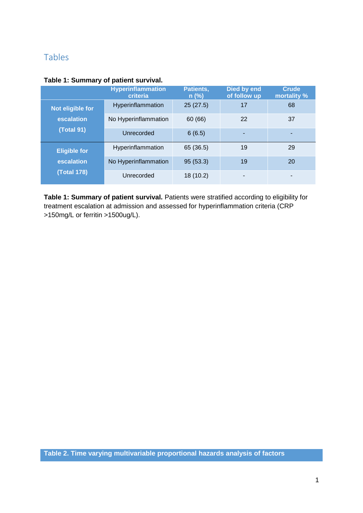## Tables

|                                                         | <b>Hyperinflammation</b><br>criteria | Patients,<br>$n$ (%) | Died by end<br>of follow up | <b>Crude</b><br>mortality % |
|---------------------------------------------------------|--------------------------------------|----------------------|-----------------------------|-----------------------------|
| Not eligible for<br>escalation<br><b>(Total 91)</b>     | Hyperinflammation                    | 25(27.5)             | 17                          | 68                          |
|                                                         | No Hyperinflammation                 | 60 (66)              | 22                          | 37                          |
|                                                         | Unrecorded                           | 6(6.5)               |                             | ۰                           |
| <b>Eligible for</b><br>escalation<br><b>(Total 178)</b> | Hyperinflammation                    | 65 (36.5)            | 19                          | 29                          |
|                                                         | No Hyperinflammation                 | 95(53.3)             | 19                          | 20                          |
|                                                         | Unrecorded                           | 18 (10.2)            |                             |                             |

Table 1: Summary of patient survival. Patients were stratified according to eligibility for treatment escalation at admission and assessed for hyperinflammation criteria (CRP >150mg/L or ferritin >1500ug/L).